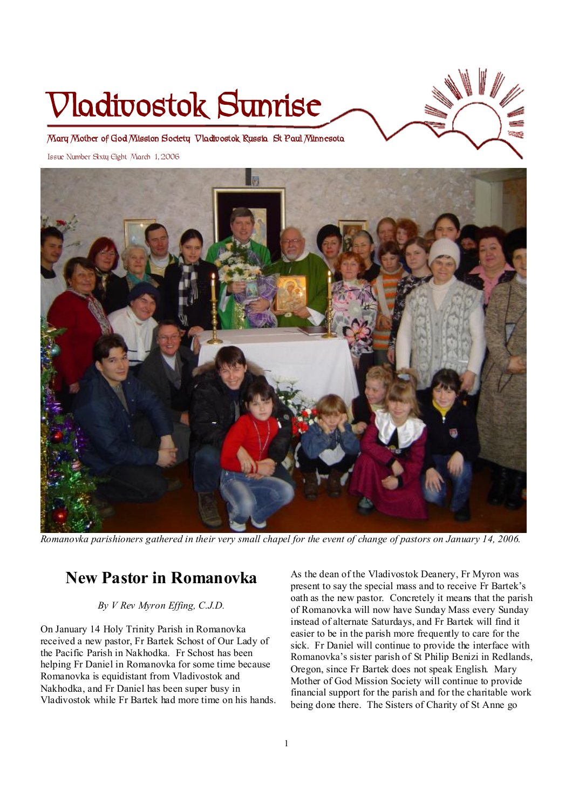# **Vladivostok Sunrise**



**Mary Mother of God Mission Society Vladivostok Russia St Paul Minnesota** 

Issue Number Sixty Eight March 1, 2006



Romanovka parishioners gathered in their very small chapel for the event of change of pastors on January 14, 2006.

# **New Pastor in Romanovka**

*By V Rev Myron Effing, C.J.D.* 

On January 14 Holy Trinity Parish in Romanovka received a new pastor, Fr Bartek Schost of Our Lady of the Pacific Parish in Nakhodka. Fr Schost has been helping Fr Daniel in Romanovka for some time because Romanovka is equidistant from Vladivostok and Nakhodka, and Fr Daniel has been super busy in Vladivostok while Fr Bartek had more time on his hands.

As the dean of the Vladivostok Deanery, Fr Myron was present to say the special mass and to receive Fr Bartek's oath as the new pastor. Concretely it means that the parish of Romanovka will now have Sunday Mass every Sunday instead of alternate Saturdays, and Fr Bartek will find it easier to be in the parish more frequently to care for the sick. Fr Daniel will continue to provide the interface with Romanovka's sister parish of St Philip Benizi in Redlands, Oregon, since Fr Bartek does not speak English. Mary Mother of God Mission Society will continue to provide financial support for the parish and for the charitable work being done there. The Sisters of Charity of St Anne go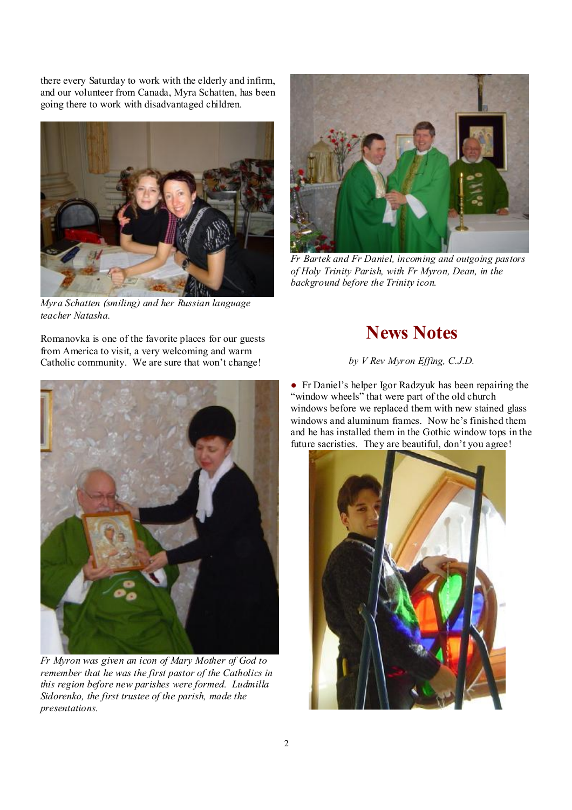there every Saturday to work with the elderly and infirm, and our volunteer from Canada, Myra Schatten, has been going there to work with disadvantaged children.



*Myra Schatten (smiling) and her Russian language teacher Natasha.* 

Romanovka is one of the favorite places for our guests from America to visit, a very welcoming and warm Catholic community. We are sure that won't change!



*Fr Myron was given an icon of Mary Mother of God to remember that he was the first pastor of the Catholics in this region before new parishes were formed. Ludmilla Sidorenko, the first trustee of the parish, made the presentations.* 



*Fr Bartek and Fr Daniel, incoming and outgoing pastors of Holy Trinity Parish, with Fr Myron, Dean, in the background before the Trinity icon.* 

# **News Notes**

*by V Rev Myron Effing, C.J.D.*

● Fr Daniel's helper Igor Radzyuk has been repairing the "window wheels" that were part of the old church" windows before we replaced them with new stained glass windows and aluminum frames. Now he's finished them and he has installed them in the Gothic window tops in the future sacristies. They are beautiful, don't you agree!

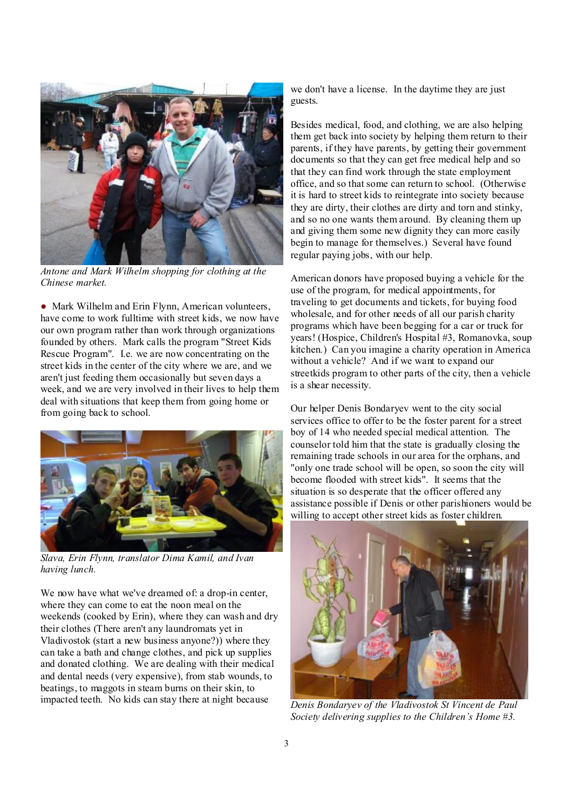

*Antone and Mark Wilhelm shopping for clothing at the Chinese market.* 

• Mark Wilhelm and Erin Flynn, American volunteers, have come to work fulltime with street kids, we now have our own program rather than work through organizations founded by others. Mark calls the program "Street Kids Rescue Program". I.e. we are now concentrating on the street kids in the center of the city where we are, and we aren't just feeding them occasionally but seven days a week, and we are very involved in their lives to help them deal with situations that keep them from going home or from going back to school.



*Slava, Erin Flynn, translator Dima Kamil, and Ivan having lunch.* 

We now have what we've dreamed of: a drop-in center, where they can come to eat the noon meal on the weekends (cooked by Erin), where they can wash and dry their clothes (There aren't any laundromats yet in Vladivostok (start a new business anyone?)) where they can take a bath and change clothes, and pick up supplies and donated clothing. We are dealing with their medical and dental needs (very expensive), from stab wounds, to beatings, to maggots in steam burns on their skin, to impacted teeth. No kids can stay there at night because

we don't have a license. In the daytime they are just guests.

Besides medical, food, and clothing, we are also helping them get back into society by helping them return to their parents, if they have parents, by getting their government documents so that they can get free medical help and so that they can find work through the state employment office, and so that some can return to school. (Otherwise it is hard to street kids to reintegrate into society because they are dirty, their clothes are dirty and torn and stinky, and so no one wants them around. By cleaning them up and giving them some new dignity they can more easily begin to manage for themselves.) Several have found regular paying jobs, with our help.

American donors have proposed buying a vehicle for the use of the program, for medical appointments, for traveling to get documents and tickets, for buying food wholesale, and for other needs of all our parish charity programs which have been begging for a car or truck for years! (Hospice, Children's Hospital #3, Romanovka, soup kitchen.) Can you imagine a charity operation in America without a vehicle? And if we want to expand our streetkids program to other parts of the city, then a vehicle is a shear necessity.

Our helper Denis Bondaryev went to the city social services office to offer to be the foster parent for a street boy of 14 who needed special medical attention. The counselor told him that the state is gradually closing the remaining trade schools in our area for the orphans, and "only one trade school will be open, so soon the city will become flooded with street kids". It seems that the situation is so desperate that the officer offered any assistance possible if Denis or other parishioners would be willing to accept other street kids as foster children.



*Denis Bondaryev of the Vladivostok St Vincent de Paul Society delivering supplies to the Children's Home #3.*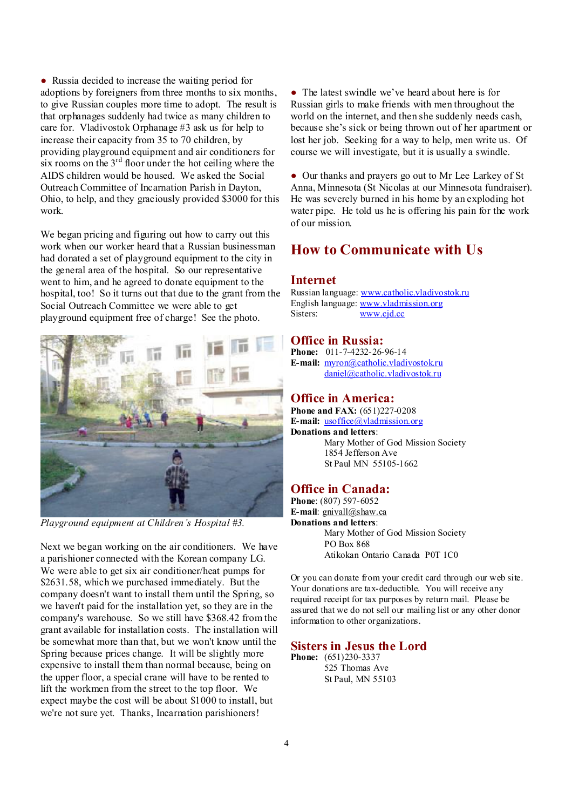● Russia decided to increase the waiting period for adoptions by foreigners from three months to six months, to give Russian couples more time to adopt. The result is that orphanages suddenly had twice as many children to care for. Vladivostok Orphanage #3 ask us for help to increase their capacity from 35 to 70 children, by providing playground equipment and air conditioners for six rooms on the  $3<sup>rd</sup>$  floor under the hot ceiling where the AIDS children would be housed. We asked the Social Outreach Committee of Incarnation Parish in Dayton, Ohio, to help, and they graciously provided \$3000 for this work.

We began pricing and figuring out how to carry out this work when our worker heard that a Russian businessman had donated a set of playground equipment to the city in the general area of the hospital. So our representative went to him, and he agreed to donate equipment to the hospital, too! So it turns out that due to the grant from the Social Outreach Committee we were able to get playground equipment free of charge! See the photo.



*Playground equipment at Children's Hospital #3.* 

Next we began working on the air conditioners. We have a parishioner connected with the Korean company LG. We were able to get six air conditioner/heat pumps for \$2631.58, which we purchased immediately. But the company doesn't want to install them until the Spring, so we haven't paid for the installation yet, so they are in the company's warehouse. So we still have \$368.42 from the grant available for installation costs. The installation will be somewhat more than that, but we won't know until the Spring because prices change. It will be slightly more expensive to install them than normal because, being on the upper floor, a special crane will have to be rented to lift the workmen from the street to the top floor. We expect maybe the cost will be about \$1000 to install, but we're not sure yet. Thanks, Incarnation parishioners!

• The latest swindle we've heard about here is for Russian girls to make friends with men throughout the world on the internet, and then she suddenly needs cash, because she's sick or being thrown out of her apartment or lost her job. Seeking for a way to help, men write us. Of course we will investigate, but it is usually a swindle.

● Our thanks and prayers go out to Mr Lee Larkey of St Anna, Minnesota (St Nicolas at our Minnesota fundraiser). He was severely burned in his home by an exploding hot water pipe. He told us he is offering his pain for the work of our mission.

# **How to Communicate with Us**

### **Internet**

Russian language: [www.catholic.vladivostok.ru](http://www.catholic.vladivostok.ru) English language: [www.vladmission.org](http://www.vladmission.org) Sisters: [www.cjd.cc](http://www.cjd.cc)

## **Office in Russia:**

**Phone:** 011-7-4232-26-96-14 **E-mail:** [myron@catholic.vladivostok.ru](mailto:myron@catholic.vladivostok.ru) [daniel@catholic.vladivostok.ru](mailto:daniel@catholic.vladivostok.ru)

## **Office in America:**

**Phone and FAX:** (651)227-0208 **E-mail:** [usoffice@vladmission.org](mailto:usoffice@vladmission.org) **Donations and letters**: Mary Mother of God Mission Society 1854 Jefferson Ave St Paul MN 55105-1662

## **Office in Canada:**

**Phone**: (807) 597-6052 **E-mail**: [gnivall@shaw.ca](mailto:gnivall@shaw.ca) **Donations and letters**: Mary Mother of God Mission Society PO Box 868 Atikokan Ontario Canada P0T 1C0

Or you can donate from your credit card through our web site. Your donations are tax-deductible. You will receive any required receipt for tax purposes by return mail. Please be assured that we do not sell our mailing list or any other donor information to other organizations.

## **Sisters in Jesus the Lord**

**Phone:** (651)230-3337 525 Thomas Ave St Paul, MN 55103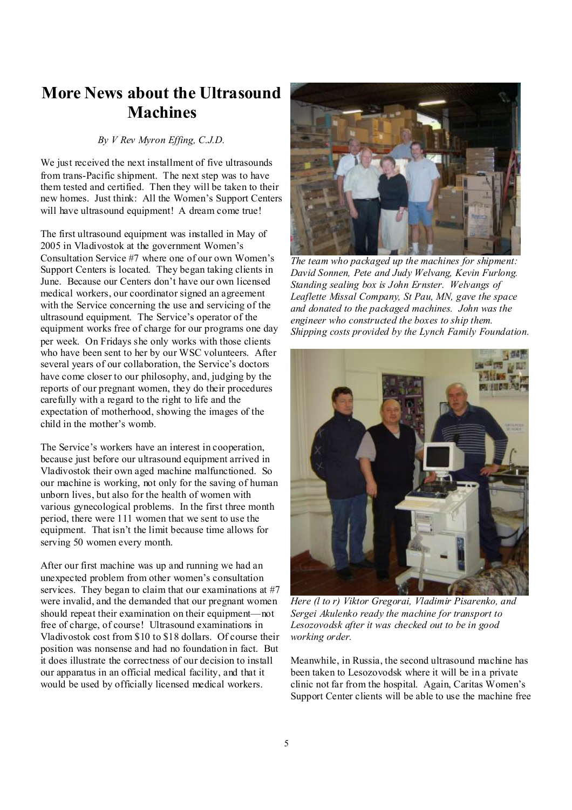# **More News about the Ultrasound Machines**

#### *By V Rev Myron Effing, C.J.D.*

We just received the next installment of five ultrasounds from trans-Pacific shipment. The next step was to have them tested and certified. Then they will be taken to their new homes. Just think: All the Women's Support Centers will have ultrasound equipment! A dream come true!

The first ultrasound equipment was installed in May of 2005 in Vladivostok at the government Women's Consultation Service #7 where one of our own Women's Support Centers is located. They began taking clients in June. Because our Centers don't have our own licensed medical workers, our coordinator signed an agreement with the Service concerning the use and servicing of the ultrasound equipment. The Service's operator of the equipment works free of charge for our programs one day per week. On Fridays she only works with those clients who have been sent to her by our WSC volunteers. After several years of our collaboration, the Service's doctors have come closer to our philosophy, and, judging by the reports of our pregnant women, they do their procedures carefully with a regard to the right to life and the expectation of motherhood, showing the images of the child in the mother's womb.

The Service's workers have an interest in cooperation, because just before our ultrasound equipment arrived in Vladivostok their own aged machine malfunctioned. So our machine is working, not only for the saving of human unborn lives, but also for the health of women with various gynecological problems. In the first three month period, there were 111 women that we sent to use the equipment. That isn't the limit because time allows for serving 50 women every month.

After our first machine was up and running we had an unexpected problem from other women's consultation services. They began to claim that our examinations at #7 were invalid, and the demanded that our pregnant women should repeat their examination on their equipment—not free of charge, of course! Ultrasound examinations in Vladivostok cost from \$10 to \$18 dollars. Of course their position was nonsense and had no foundation in fact. But it does illustrate the correctness of our decision to install our apparatus in an official medical facility, and that it would be used by officially licensed medical workers.



*The team who packaged up the machines for shipment: David Sonnen, Pete and Judy Welvang, Kevin Furlong. Standing sealing box is John Ernster. Welvangs of Leaflette Missal Company, St Pau, MN, gave the space and donated to the packaged machines. John was the engineer who constructed the boxes to ship them. Shipping costs provided by the Lynch Family Foundation.* 



*Here (l to r) Viktor Gregorai, Vladimir Pisarenko, and Sergei Akulenko ready the machine for transport to Lesozovodsk after it was checked out to be in good working order.* 

Meanwhile, in Russia, the second ultrasound machine has been taken to Lesozovodsk where it will be in a private clinic not far from the hospital. Again, Caritas Women's Support Center clients will be able to use the machine free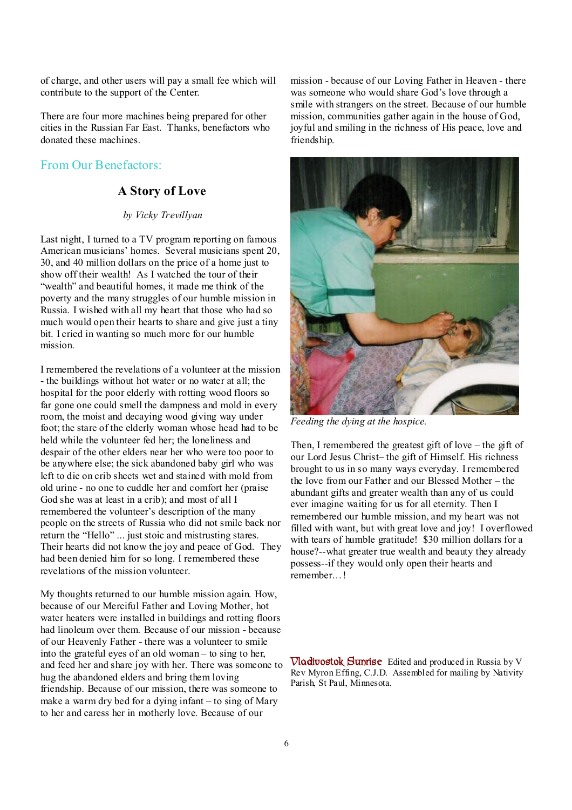of charge, and other users will pay a small fee which will contribute to the support of the Center.

There are four more machines being prepared for other cities in the Russian Far East. Thanks, benefactors who donated these machines.

## From Our Benefactors:

## **A Story of Love**

### *by Vicky Trevillyan*

Last night, I turned to a TV program reporting on famous American musicians' homes. Several musicians spent 20, 30, and 40 million dollars on the price of a home just to show off their wealth! As I watched the tour of their "wealth" and beautiful homes, it made me think of the poverty and the many struggles of our humble mission in Russia. I wished with all my heart that those who had so much would open their hearts to share and give just a tiny bit. I cried in wanting so much more for our humble mission.

I remembered the revelations of a volunteer at the mission - the buildings without hot water or no water at all; the hospital for the poor elderly with rotting wood floors so far gone one could smell the dampness and mold in every room, the moist and decaying wood giving way under foot; the stare of the elderly woman whose head had to be held while the volunteer fed her; the loneliness and despair of the other elders near her who were too poor to be anywhere else; the sick abandoned baby girl who was left to die on crib sheets wet and stained with mold from old urine - no one to cuddle her and comfort her (praise God she was at least in a crib); and most of all I remembered the volunteer's description of the many people on the streets of Russia who did not smile back nor return the "Hello" ... just stoic and mistrusting stares. Their hearts did not know the joy and peace of God. They had been denied him for so long. I remembered these revelations of the mission volunteer.

My thoughts returned to our humble mission again. How, because of our Merciful Father and Loving Mother, hot water heaters were installed in buildings and rotting floors had linoleum over them. Because of our mission - because of our Heavenly Father - there was a volunteer to smile into the grateful eyes of an old woman – to sing to her, and feed her and share joy with her. There was someone to hug the abandoned elders and bring them loving friendship. Because of our mission, there was someone to make a warm dry bed for a dying infant – to sing of Mary to her and caress her in motherly love. Because of our

mission - because of our Loving Father in Heaven - there was someone who would share God's love through a smile with strangers on the street. Because of our humble mission, communities gather again in the house of God, joyful and smiling in the richness of His peace, love and friendship.



*Feeding the dying at the hospice.* 

Then, I remembered the greatest gift of love – the gift of our Lord Jesus Christ– the gift of Himself. His richness brought to us in so many ways everyday. I remembered the love from our Father and our Blessed Mother – the abundant gifts and greater wealth than any of us could ever imagine waiting for us for all eternity. Then I remembered our humble mission, and my heart was not filled with want, but with great love and joy! I overflowed with tears of humble gratitude! \$30 million dollars for a house?--what greater true wealth and beauty they already possess--if they would only open their hearts and remember…!

**Vladivostok Sunrise** Edited and produced in Russia by V Rev Myron Effing, C.J.D. Assembled for mailing by Nativity Parish, St Paul, Minnesota.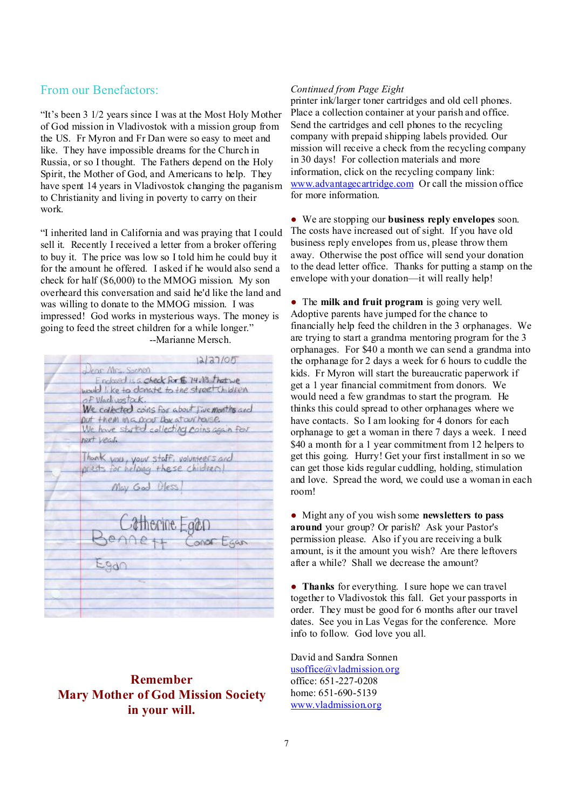# From our Benefactors:

"It's been 3 1/2 years since I was at the Most Holy Mother of God mission in Vladivostok with a mission group from the US. Fr Myron and Fr Dan were so easy to meet and like. They have impossible dreams for the Church in Russia, or so I thought. The Fathers depend on the Holy Spirit, the Mother of God, and Americans to help. They have spent 14 years in Vladivostok changing the paganism to Christianity and living in poverty to carry on their work.

"I inherited land in California and was praying that I could sell it. Recently I received a letter from a broker offering to buy it. The price was low so I told him he could buy it for the amount he offered. I asked if he would also send a check for half (\$6,000) to the MMOG mission. My son overheard this conversation and said he'd like the land and was willing to donate to the MMOG mission. I was impressed! God works in mysterious ways. The money is going to feed the street children for a while longer." --Marianne Mersch.

| 12/27/05                                                                    |
|-----------------------------------------------------------------------------|
| Jean Miss Sonon                                                             |
| Enclosed is a check for \$ 74.13 that we                                    |
| would like to donate to the street children                                 |
| of Vlachvostock.                                                            |
| We collected coins for about live months and                                |
| put them in a poor the stour house.                                         |
| We have stated collecting coins again four                                  |
| next year.                                                                  |
|                                                                             |
| Thank you, your staff, volunteers and<br>prests for helping these children! |
|                                                                             |
| May God Dless                                                               |
|                                                                             |
|                                                                             |
|                                                                             |
|                                                                             |
| Catherine Egan<br>enne ff Conor Egan                                        |
|                                                                             |
|                                                                             |
|                                                                             |
|                                                                             |
|                                                                             |
|                                                                             |
|                                                                             |

# **Remember Mary Mother of God Mission Society in your will.**

### *Continued from Page Eight*

printer ink/larger toner cartridges and old cell phones. Place a collection container at your parish and office. Send the cartridges and cell phones to the recycling company with prepaid shipping labels provided. Our mission will receive a check from the recycling company in 30 days! For collection materials and more information, click on the recycling company link: [www.advantagecartridge.com](http://www.advantagecartridge.com) Or call the mission office for more information.

● We are stopping our **business reply envelopes** soon. The costs have increased out of sight. If you have old business reply envelopes from us, please throw them away. Otherwise the post office will send your donation to the dead letter office. Thanks for putting a stamp on the envelope with your donation—it will really help!

● The **milk and fruit program** is going very well. Adoptive parents have jumped for the chance to financially help feed the children in the 3 orphanages. We are trying to start a grandma mentoring program for the 3 orphanages. For \$40 a month we can send a grandma into the orphanage for 2 days a week for 6 hours to cuddle the kids. Fr Myron will start the bureaucratic paperwork if get a 1 year financial commitment from donors. We would need a few grandmas to start the program. He thinks this could spread to other orphanages where we have contacts. So I am looking for 4 donors for each orphanage to get a woman in there 7 days a week. I need \$40 a month for a 1 year commitment from 12 helpers to get this going. Hurry! Get your first installment in so we can get those kids regular cuddling, holding, stimulation and love. Spread the word, we could use a woman in each room!

● Might any of you wish some **newsletters to pass around** your group? Or parish? Ask your Pastor's permission please. Also if you are receiving a bulk amount, is it the amount you wish? Are there leftovers after a while? Shall we decrease the amount?

● **Thanks** for everything. I sure hope we can travel together to Vladivostok this fall. Get your passports in order. They must be good for 6 months after our travel dates. See you in Las Vegas for the conference. More info to follow. God love you all.

David and Sandra Sonnen [usoffice@vladmission.org](mailto:usoffice@vladmission.org) office: 651-227-0208 home: 651-690-5139 [www.vladmission.org](http://www.vladmission.org)